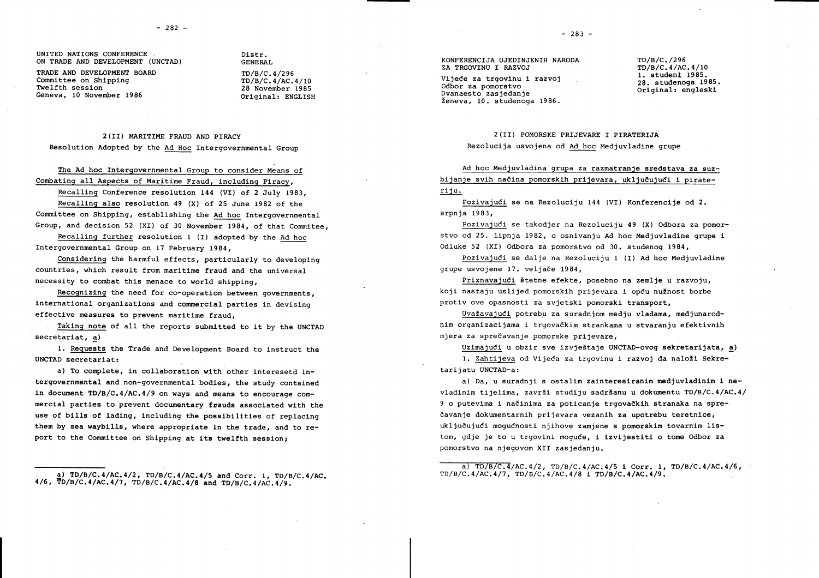UNITED NATIONS CONFERENCE ON TRADE AND DEVELOPMENT (UNCTAD)

TRADE AND DEVELOPMENT BOARD Committee on Shipping Twelfth session Geneva. 10 November 1986

Distr. GENERAL

TD/B/C.4/296  $TD/B/C.4/AC.4/10$ 28 November 1985 Original: ENGLISH

2 (II) MARITIME FRAUD AND PIRACY Resolution Adopted by the Ad Hoc Intergovernmental Group

The Ad hoc Intergovernmental Group to consider Means of Combating all Aspects of Maritime Fraud, including Piracy,

Recalling Conference resolution 144 (VI) of 2 July 1983, Recalling also resolution 49 (X) of 25 June 1982 of the Committee on Shipping, establishing the Ad hoc Intergovernmental Group, and decision 52 (XI) of 30 November 1984, of that Commitee,

Recalling further resolution 1 (I) adopted by the Ad hoc Intergovernmental Group on 17 February 1984,

Considering the harmful effects, particularly to developing countries, which result from maritime fraud and the universal necessity to combat this menace to world shipping,

Recognizing the need for co-operation between governments, international organizations and commercial parties in devising effective measures to prevent maritime fraud,

Taking note of all the reports submitted to it by the UNCTAD secretariat, a)

1. Requests the Trade and Development Board to instruct the UNCTAD secretariat:

a) To complete, in collaboration with other interesetd intergovernmental and non-governmental bodies, the study contained in document TD/B/C.4/AC.4/9 on ways and means to encourage commercial parties to prevent documentary frauds associated with the use of bills of lading, including the possibilities of replacing them by sea waybills, where appropriate in the trade, and to report to the Committee on Shipping at its twelfth session;

a) TD/B/C.4/AC.4/2, TD/B/C.4/AC.4/5 and Corr. 1, TD/B/C.4/AC. 4/6, TD/B/C.4/AC.4/7, TD/B/C.4/AC.4/8 and TD/B/C.4/AC.4/9.

Vijeće za trgovinu i razvoj Odbor za pomorstvo Dvanaesto zasiedanie Ženeva, 10. studenoga 1986. TD/B/C./296 TD/B/C.4/AC.4/10 1. student 1985. 28. studenoga 1985. Original: engleski

2 (II) POMORSKE PRIJEVARE I PIRATERIJA Rezolucija usvojena od Ad hoc Medjuvladine grupe

Ad hoc Mediuvladina grupa za razmatranje sredstava za suzbijanje svih načina pomorskih prijevara, uključujući i pirateriju.

Pozivajući se na Rezoluciju 144 (VI) Konferencije od 2. srpnia 1983.

Pozivajući se takodjer na Rezoluciju 49 (X) Odbora za pomorstvo od 25. lipnja 1982, o osnivanju Ad hoc Medjuvladine grupe i Odluke 52 (XI) Odbora za pomorstvo od 30. studenog 1984.

Pozivajući se dalje na Rezoluciju 1 (I) Ad hoc Medjuvladine grupe usvojene 17. veljače 1984.

Priznavajući štetne efekte, posebno na zemlje u razvoju, koji nastaju uslijed pomorskih prijevara i opću nužnost borbe protiv ove opasnosti za svjetski pomorski transport,

Uvažavajući potrebu za suradnjom medju vladama, medjunarodnim organizacijama i trgovačkim strankama u stvaranju efektivnih mjera za sprečavanje pomorske prijevare,

Uzimajući u obzir sve izvieštaje UNCTAD-ovog sekretarijata, a) 1. Zahtijeva od Vijeća za trgovinu i razvoj da naloži Sekretarijatu UNCTAD-a:

a) Da. u suradnji s ostalim zainteresiranim medjuvladinim i nevladinim tijelima, završi studiju sadršanu u dokumentu TD/B/C.4/AC.4/ 9 o putevima i načinima za poticanje trgovačkih stranaka na sprečavanje dokumentarnih prijevara vezanih za upotrebu teretnice, uključujući mogućnosti njihove zamjene s pomorskim tovarnim listom, gdje je to u trgovini moguće, i izvijestiti o tome Odbor za pomorstvo na njegovom XII zasjedanju.

a)  $TD/B/C.4/AC.4/2$ ,  $TD/B/C.4/AC.4/5$  i Corr. 1,  $TD/B/C.4/AC.4/6$ ,  $TD/B/C.4/AC.4/7. TD/B/C.4/AC.4/8 1 TD/B/C.4/AC.4/9.$